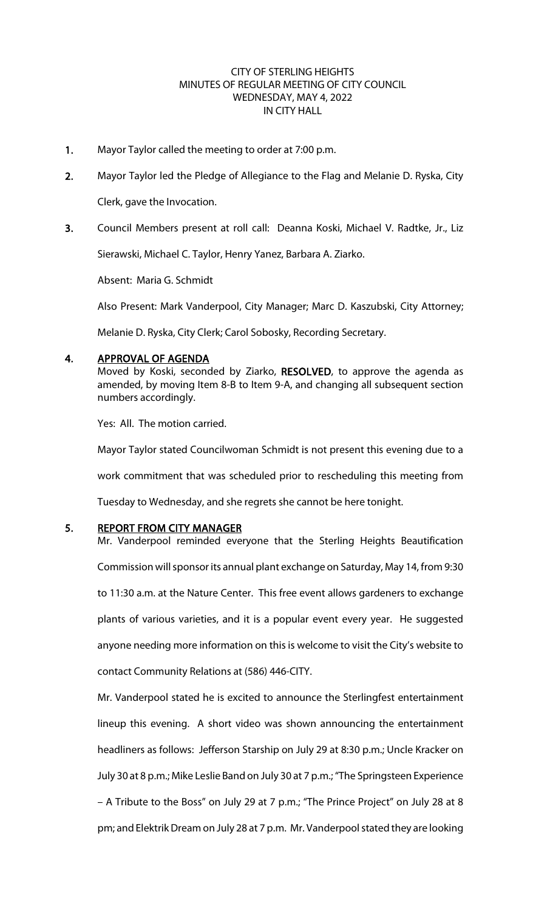#### CITY OF STERLING HEIGHTS MINUTES OF REGULAR MEETING OF CITY COUNCIL WEDNESDAY, MAY 4, 2022 IN CITY HALL

- 1. Mayor Taylor called the meeting to order at 7:00 p.m.
- 2. Mayor Taylor led the Pledge of Allegiance to the Flag and Melanie D. Ryska, City

Clerk, gave the Invocation.

3. Council Members present at roll call: Deanna Koski, Michael V. Radtke, Jr., Liz

Sierawski, Michael C. Taylor, Henry Yanez, Barbara A. Ziarko.

Absent: Maria G. Schmidt

Also Present: Mark Vanderpool, City Manager; Marc D. Kaszubski, City Attorney;

Melanie D. Ryska, City Clerk; Carol Sobosky, Recording Secretary.

#### 4. APPROVAL OF AGENDA

Moved by Koski, seconded by Ziarko, RESOLVED, to approve the agenda as amended, by moving Item 8-B to Item 9-A, and changing all subsequent section numbers accordingly.

Yes: All. The motion carried.

Mayor Taylor stated Councilwoman Schmidt is not present this evening due to a work commitment that was scheduled prior to rescheduling this meeting from Tuesday to Wednesday, and she regrets she cannot be here tonight.

# 5. REPORT FROM CITY MANAGER

Mr. Vanderpool reminded everyone that the Sterling Heights Beautification Commission will sponsor its annual plant exchange on Saturday, May 14, from 9:30 to 11:30 a.m. at the Nature Center. This free event allows gardeners to exchange plants of various varieties, and it is a popular event every year. He suggested anyone needing more information on this is welcome to visit the City's website to contact Community Relations at (586) 446-CITY.

Mr. Vanderpool stated he is excited to announce the Sterlingfest entertainment lineup this evening. A short video was shown announcing the entertainment headliners as follows: Jefferson Starship on July 29 at 8:30 p.m.; Uncle Kracker on July 30 at 8 p.m.; Mike Leslie Band on July 30 at 7 p.m.; "The Springsteen Experience – A Tribute to the Boss" on July 29 at 7 p.m.; "The Prince Project" on July 28 at 8 pm; and Elektrik Dream on July 28 at 7 p.m. Mr. Vanderpool stated they are looking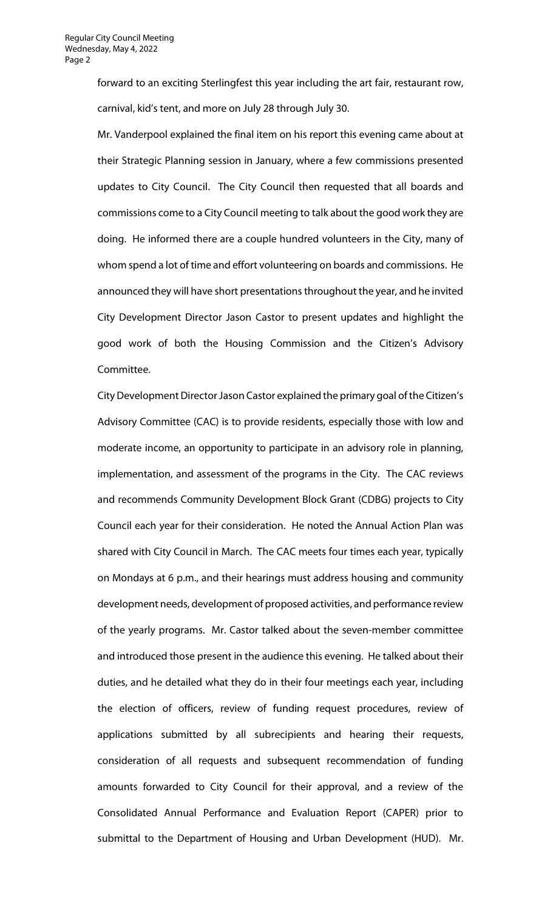forward to an exciting Sterlingfest this year including the art fair, restaurant row, carnival, kid's tent, and more on July 28 through July 30.

Mr. Vanderpool explained the final item on his report this evening came about at their Strategic Planning session in January, where a few commissions presented updates to City Council. The City Council then requested that all boards and commissions come to a City Council meeting to talk about the good work they are doing. He informed there are a couple hundred volunteers in the City, many of whom spend a lot of time and effort volunteering on boards and commissions. He announced they will have short presentations throughout the year, and he invited City Development Director Jason Castor to present updates and highlight the good work of both the Housing Commission and the Citizen's Advisory Committee.

CityDevelopment Director Jason Castor explained the primary goal of the Citizen's Advisory Committee (CAC) is to provide residents, especially those with low and moderate income, an opportunity to participate in an advisory role in planning, implementation, and assessment of the programs in the City. The CAC reviews and recommends Community Development Block Grant (CDBG) projects to City Council each year for their consideration. He noted the Annual Action Plan was shared with City Council in March. The CAC meets four times each year, typically on Mondays at 6 p.m., and their hearings must address housing and community development needs, development of proposed activities, and performance review of the yearly programs. Mr. Castor talked about the seven-member committee and introduced those present in the audience this evening. He talked about their duties, and he detailed what they do in their four meetings each year, including the election of officers, review of funding request procedures, review of applications submitted by all subrecipients and hearing their requests, consideration of all requests and subsequent recommendation of funding amounts forwarded to City Council for their approval, and a review of the Consolidated Annual Performance and Evaluation Report (CAPER) prior to submittal to the Department of Housing and Urban Development (HUD). Mr.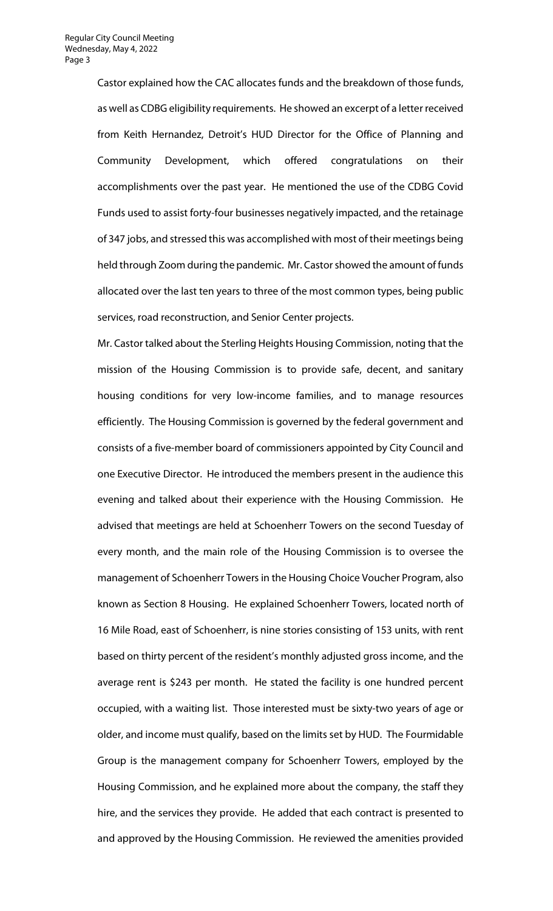Castor explained how the CAC allocates funds and the breakdown of those funds, as well as CDBG eligibility requirements. He showed an excerpt of a letter received from Keith Hernandez, Detroit's HUD Director for the Office of Planning and Community Development, which offered congratulations on their accomplishments over the past year. He mentioned the use of the CDBG Covid Funds used to assist forty-four businesses negatively impacted, and the retainage of 347 jobs, and stressed this was accomplished with most of their meetings being held through Zoom during the pandemic. Mr. Castor showed the amount of funds allocated over the last ten years to three of the most common types, being public services, road reconstruction, and Senior Center projects.

Mr. Castor talked about the Sterling Heights Housing Commission, noting that the mission of the Housing Commission is to provide safe, decent, and sanitary housing conditions for very low-income families, and to manage resources efficiently. The Housing Commission is governed by the federal government and consists of a five-member board of commissioners appointed by City Council and one Executive Director. He introduced the members present in the audience this evening and talked about their experience with the Housing Commission. He advised that meetings are held at Schoenherr Towers on the second Tuesday of every month, and the main role of the Housing Commission is to oversee the management of Schoenherr Towers in the Housing Choice Voucher Program, also known as Section 8 Housing. He explained Schoenherr Towers, located north of 16 Mile Road, east of Schoenherr, is nine stories consisting of 153 units, with rent based on thirty percent of the resident's monthly adjusted gross income, and the average rent is \$243 per month. He stated the facility is one hundred percent occupied, with a waiting list. Those interested must be sixty-two years of age or older, and income must qualify, based on the limits set by HUD. The Fourmidable Group is the management company for Schoenherr Towers, employed by the Housing Commission, and he explained more about the company, the staff they hire, and the services they provide. He added that each contract is presented to and approved by the Housing Commission. He reviewed the amenities provided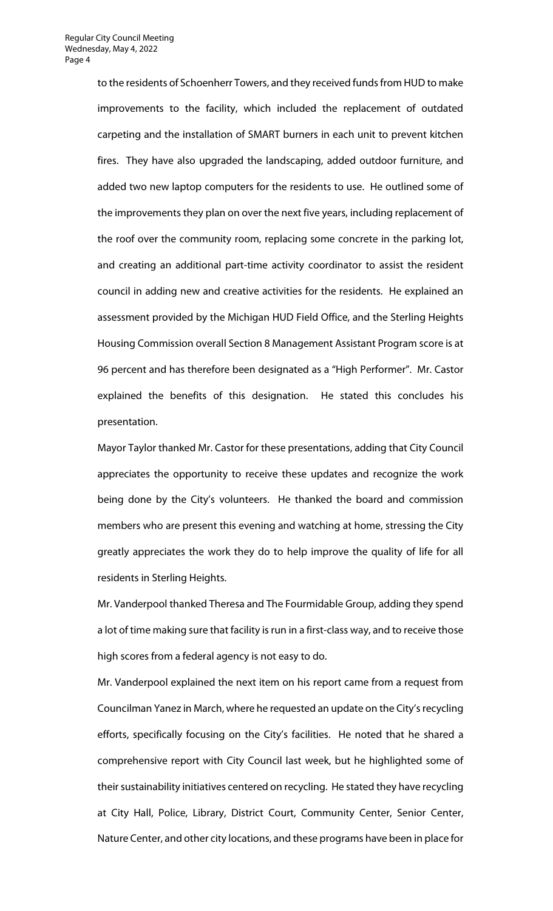to the residents of Schoenherr Towers, and they received funds from HUD to make improvements to the facility, which included the replacement of outdated carpeting and the installation of SMART burners in each unit to prevent kitchen fires. They have also upgraded the landscaping, added outdoor furniture, and added two new laptop computers for the residents to use. He outlined some of the improvements they plan on over the next five years, including replacement of the roof over the community room, replacing some concrete in the parking lot, and creating an additional part-time activity coordinator to assist the resident council in adding new and creative activities for the residents. He explained an assessment provided by the Michigan HUD Field Office, and the Sterling Heights Housing Commission overall Section 8 Management Assistant Program score is at 96 percent and has therefore been designated as a "High Performer". Mr. Castor explained the benefits of this designation. He stated this concludes his presentation.

Mayor Taylor thanked Mr. Castor for these presentations, adding that City Council appreciates the opportunity to receive these updates and recognize the work being done by the City's volunteers. He thanked the board and commission members who are present this evening and watching at home, stressing the City greatly appreciates the work they do to help improve the quality of life for all residents in Sterling Heights.

Mr. Vanderpool thanked Theresa and The Fourmidable Group, adding they spend a lot of time making sure that facility is run in a first-class way, and to receive those high scores from a federal agency is not easy to do.

Mr. Vanderpool explained the next item on his report came from a request from Councilman Yanez in March, where he requested an update on the City's recycling efforts, specifically focusing on the City's facilities. He noted that he shared a comprehensive report with City Council last week, but he highlighted some of their sustainability initiatives centered on recycling. He stated they have recycling at City Hall, Police, Library, District Court, Community Center, Senior Center, Nature Center, and other city locations, and these programs have been in place for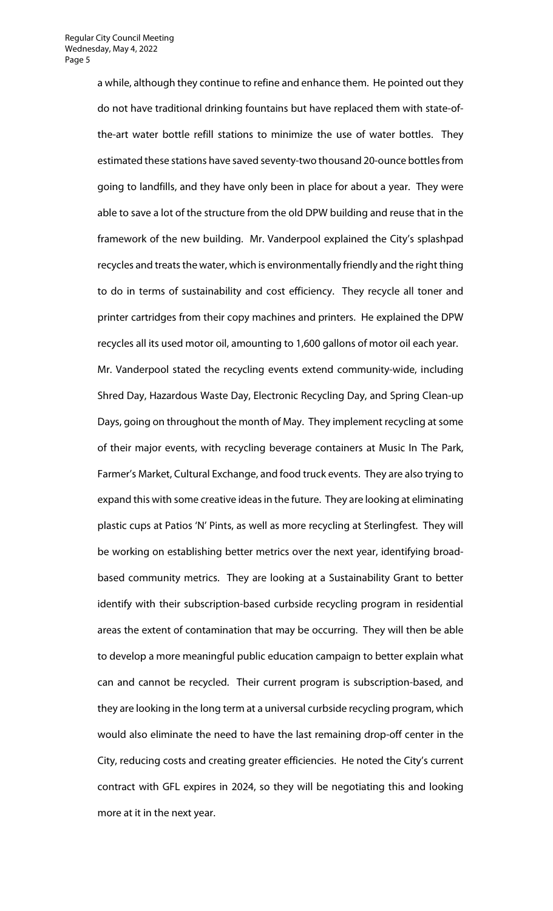a while, although they continue to refine and enhance them. He pointed out they do not have traditional drinking fountains but have replaced them with state-ofthe-art water bottle refill stations to minimize the use of water bottles. They estimated these stations have saved seventy-two thousand 20-ounce bottles from going to landfills, and they have only been in place for about a year. They were able to save a lot of the structure from the old DPW building and reuse that in the framework of the new building. Mr. Vanderpool explained the City's splashpad recycles and treats the water, which is environmentally friendly and the right thing to do in terms of sustainability and cost efficiency. They recycle all toner and printer cartridges from their copy machines and printers. He explained the DPW recycles all its used motor oil, amounting to 1,600 gallons of motor oil each year. Mr. Vanderpool stated the recycling events extend community-wide, including Shred Day, Hazardous Waste Day, Electronic Recycling Day, and Spring Clean-up Days, going on throughout the month of May. They implement recycling at some of their major events, with recycling beverage containers at Music In The Park, Farmer's Market, Cultural Exchange, and food truck events. They are also trying to expand this with some creative ideas in the future. They are looking at eliminating plastic cups at Patios 'N' Pints, as well as more recycling at Sterlingfest. They will be working on establishing better metrics over the next year, identifying broadbased community metrics. They are looking at a Sustainability Grant to better identify with their subscription-based curbside recycling program in residential areas the extent of contamination that may be occurring. They will then be able to develop a more meaningful public education campaign to better explain what can and cannot be recycled. Their current program is subscription-based, and they are looking in the long term at a universal curbside recycling program, which would also eliminate the need to have the last remaining drop-off center in the City, reducing costs and creating greater efficiencies. He noted the City's current contract with GFL expires in 2024, so they will be negotiating this and looking more at it in the next year.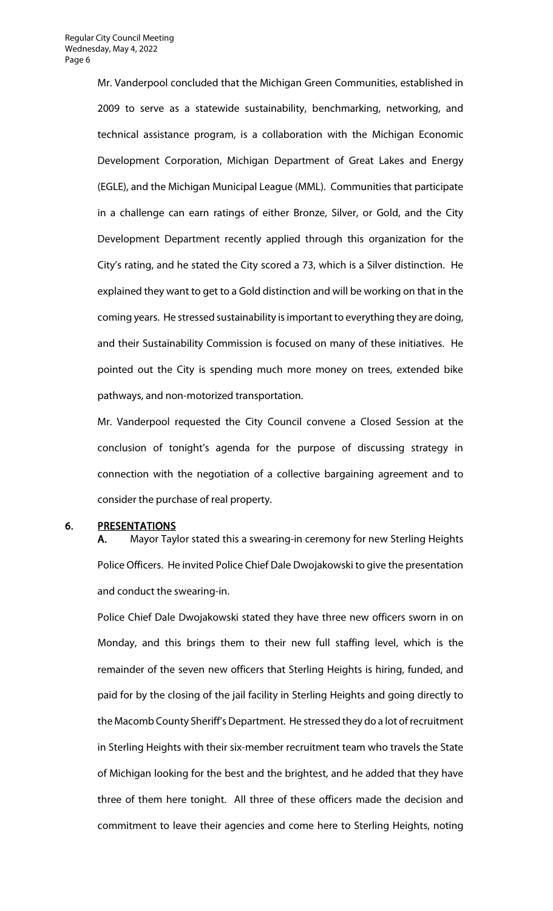Mr. Vanderpool concluded that the Michigan Green Communities, established in 2009 to serve as a statewide sustainability, benchmarking, networking, and technical assistance program, is a collaboration with the Michigan Economic Development Corporation, Michigan Department of Great Lakes and Energy (EGLE), and the Michigan Municipal League (MML). Communities that participate in a challenge can earn ratings of either Bronze, Silver, or Gold, and the City Development Department recently applied through this organization for the City's rating, and he stated the City scored a 73, which is a Silver distinction. He explained they want to get to a Gold distinction and will be working on that in the coming years. He stressed sustainability is important to everything they are doing, and their Sustainability Commission is focused on many of these initiatives. He pointed out the City is spending much more money on trees, extended bike pathways, and non-motorized transportation.

Mr. Vanderpool requested the City Council convene a Closed Session at the conclusion of tonight's agenda for the purpose of discussing strategy in connection with the negotiation of a collective bargaining agreement and to consider the purchase of real property.

#### 6. PRESENTATIONS

A. Mayor Taylor stated this a swearing-in ceremony for new Sterling Heights Police Officers. He invited Police Chief Dale Dwojakowski to give the presentation and conduct the swearing-in.

Police Chief Dale Dwojakowski stated they have three new officers sworn in on Monday, and this brings them to their new full staffing level, which is the remainder of the seven new officers that Sterling Heights is hiring, funded, and paid for by the closing of the jail facility in Sterling Heights and going directly to the Macomb County Sheriff's Department. He stressed they do a lot of recruitment in Sterling Heights with their six-member recruitment team who travels the State of Michigan looking for the best and the brightest, and he added that they have three of them here tonight. All three of these officers made the decision and commitment to leave their agencies and come here to Sterling Heights, noting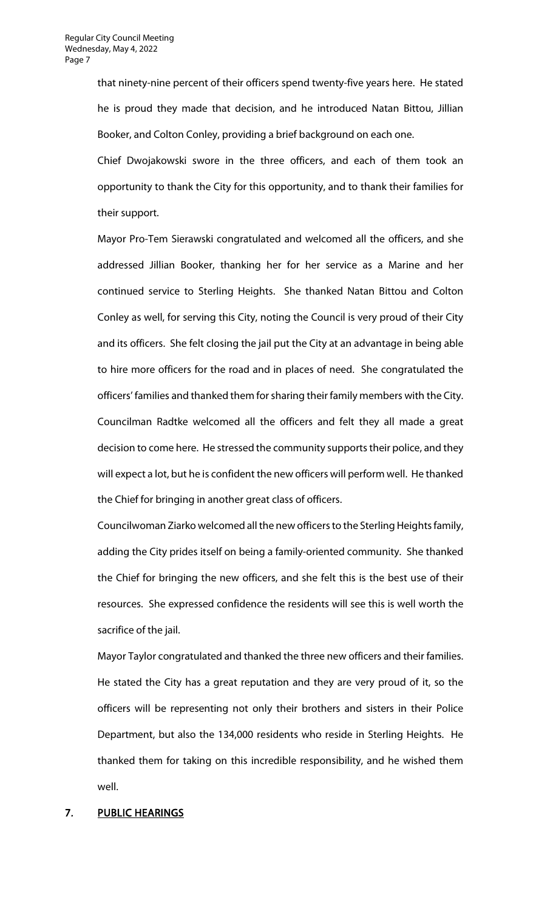that ninety-nine percent of their officers spend twenty-five years here. He stated he is proud they made that decision, and he introduced Natan Bittou, Jillian Booker, and Colton Conley, providing a brief background on each one.

Chief Dwojakowski swore in the three officers, and each of them took an opportunity to thank the City for this opportunity, and to thank their families for their support.

Mayor Pro-Tem Sierawski congratulated and welcomed all the officers, and she addressed Jillian Booker, thanking her for her service as a Marine and her continued service to Sterling Heights. She thanked Natan Bittou and Colton Conley as well, for serving this City, noting the Council is very proud of their City and its officers. She felt closing the jail put the City at an advantage in being able to hire more officers for the road and in places of need. She congratulated the officers' families and thanked them for sharing their family members with the City. Councilman Radtke welcomed all the officers and felt they all made a great decision to come here. He stressed the community supports their police, and they will expect a lot, but he is confident the new officers will perform well. He thanked the Chief for bringing in another great class of officers.

Councilwoman Ziarko welcomed all the new officers to the Sterling Heights family, adding the City prides itself on being a family-oriented community. She thanked the Chief for bringing the new officers, and she felt this is the best use of their resources. She expressed confidence the residents will see this is well worth the sacrifice of the jail.

Mayor Taylor congratulated and thanked the three new officers and their families. He stated the City has a great reputation and they are very proud of it, so the officers will be representing not only their brothers and sisters in their Police Department, but also the 134,000 residents who reside in Sterling Heights. He thanked them for taking on this incredible responsibility, and he wished them well.

# 7. PUBLIC HEARINGS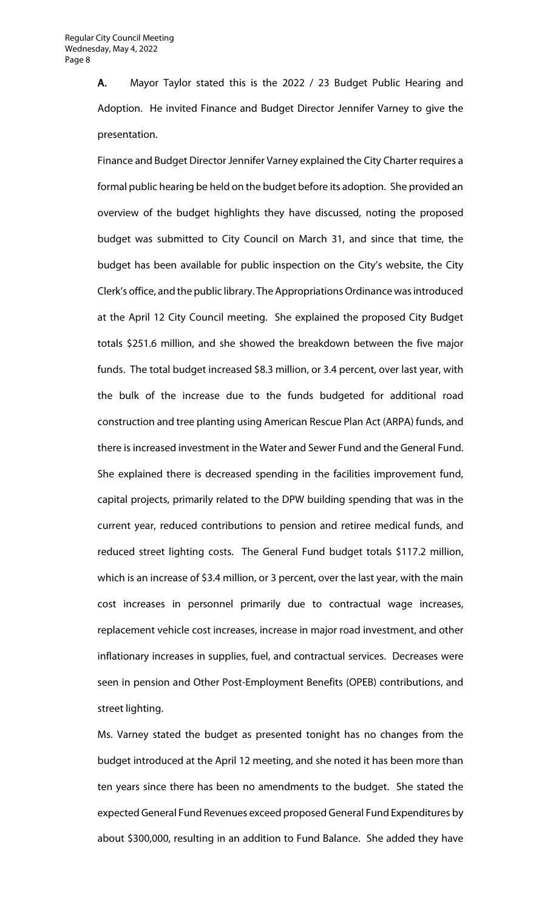A. Mayor Taylor stated this is the 2022 / 23 Budget Public Hearing and Adoption. He invited Finance and Budget Director Jennifer Varney to give the presentation.

Finance and Budget Director Jennifer Varney explained the City Charter requires a formal public hearing be held on the budget before its adoption. She provided an overview of the budget highlights they have discussed, noting the proposed budget was submitted to City Council on March 31, and since that time, the budget has been available for public inspection on the City's website, the City Clerk's office, and the public library. The Appropriations Ordinance was introduced at the April 12 City Council meeting. She explained the proposed City Budget totals \$251.6 million, and she showed the breakdown between the five major funds. The total budget increased \$8.3 million, or 3.4 percent, over last year, with the bulk of the increase due to the funds budgeted for additional road construction and tree planting using American Rescue Plan Act (ARPA) funds, and there is increased investment in the Water and Sewer Fund and the General Fund. She explained there is decreased spending in the facilities improvement fund, capital projects, primarily related to the DPW building spending that was in the current year, reduced contributions to pension and retiree medical funds, and reduced street lighting costs. The General Fund budget totals \$117.2 million, which is an increase of \$3.4 million, or 3 percent, over the last year, with the main cost increases in personnel primarily due to contractual wage increases, replacement vehicle cost increases, increase in major road investment, and other inflationary increases in supplies, fuel, and contractual services. Decreases were seen in pension and Other Post-Employment Benefits (OPEB) contributions, and street lighting.

Ms. Varney stated the budget as presented tonight has no changes from the budget introduced at the April 12 meeting, and she noted it has been more than ten years since there has been no amendments to the budget. She stated the expected General Fund Revenues exceed proposed General Fund Expenditures by about \$300,000, resulting in an addition to Fund Balance. She added they have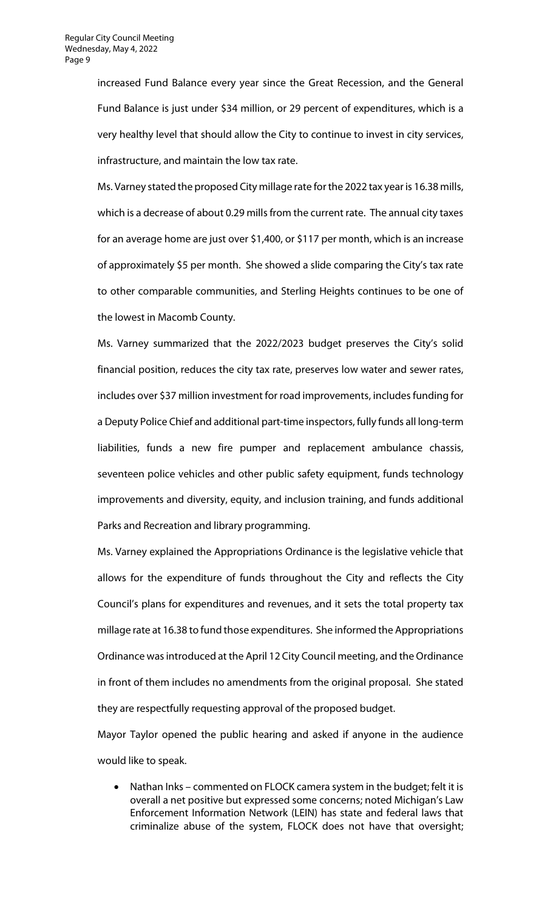increased Fund Balance every year since the Great Recession, and the General Fund Balance is just under \$34 million, or 29 percent of expenditures, which is a very healthy level that should allow the City to continue to invest in city services, infrastructure, and maintain the low tax rate.

Ms. Varney stated the proposed City millage rate for the 2022 tax year is 16.38 mills, which is a decrease of about 0.29 mills from the current rate. The annual city taxes for an average home are just over \$1,400, or \$117 per month, which is an increase of approximately \$5 per month. She showed a slide comparing the City's tax rate to other comparable communities, and Sterling Heights continues to be one of the lowest in Macomb County.

Ms. Varney summarized that the 2022/2023 budget preserves the City's solid financial position, reduces the city tax rate, preserves low water and sewer rates, includes over \$37 million investment for road improvements, includes funding for a Deputy Police Chief and additional part-time inspectors, fully funds all long-term liabilities, funds a new fire pumper and replacement ambulance chassis, seventeen police vehicles and other public safety equipment, funds technology improvements and diversity, equity, and inclusion training, and funds additional Parks and Recreation and library programming.

Ms. Varney explained the Appropriations Ordinance is the legislative vehicle that allows for the expenditure of funds throughout the City and reflects the City Council's plans for expenditures and revenues, and it sets the total property tax millage rate at 16.38 to fund those expenditures. She informed the Appropriations Ordinance was introduced at the April 12 City Council meeting, and the Ordinance in front of them includes no amendments from the original proposal. She stated they are respectfully requesting approval of the proposed budget.

Mayor Taylor opened the public hearing and asked if anyone in the audience would like to speak.

• Nathan Inks – commented on FLOCK camera system in the budget; felt it is overall a net positive but expressed some concerns; noted Michigan's Law Enforcement Information Network (LEIN) has state and federal laws that criminalize abuse of the system, FLOCK does not have that oversight;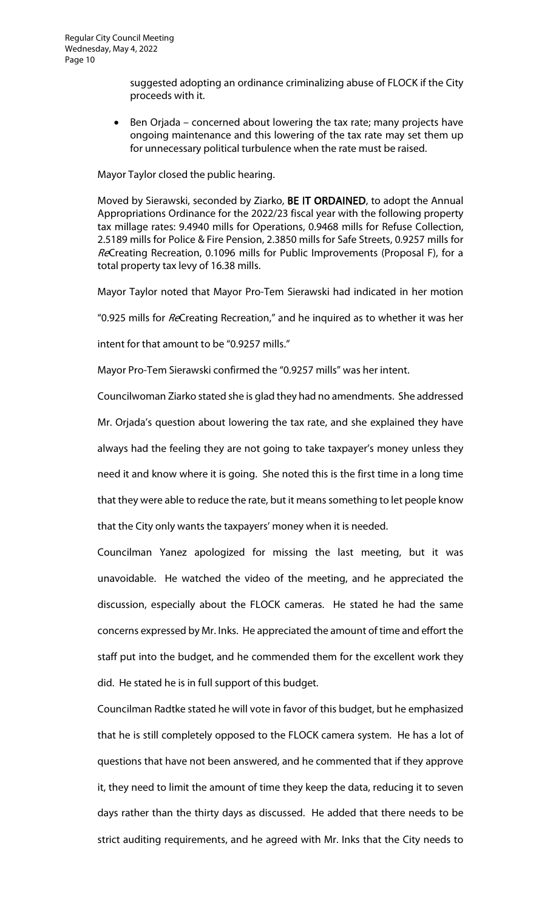suggested adopting an ordinance criminalizing abuse of FLOCK if the City proceeds with it.

Ben Orjada – concerned about lowering the tax rate; many projects have ongoing maintenance and this lowering of the tax rate may set them up for unnecessary political turbulence when the rate must be raised.

Mayor Taylor closed the public hearing.

Moved by Sierawski, seconded by Ziarko, BE IT ORDAINED, to adopt the Annual Appropriations Ordinance for the 2022/23 fiscal year with the following property tax millage rates: 9.4940 mills for Operations, 0.9468 mills for Refuse Collection, 2.5189 mills for Police & Fire Pension, 2.3850 mills for Safe Streets, 0.9257 mills for ReCreating Recreation, 0.1096 mills for Public Improvements (Proposal F), for a total property tax levy of 16.38 mills.

Mayor Taylor noted that Mayor Pro-Tem Sierawski had indicated in her motion

"0.925 mills for ReCreating Recreation," and he inquired as to whether it was her

intent for that amount to be "0.9257 mills."

Mayor Pro-Tem Sierawski confirmed the "0.9257 mills" was her intent.

Councilwoman Ziarko stated she is glad they had no amendments. She addressed Mr. Orjada's question about lowering the tax rate, and she explained they have always had the feeling they are not going to take taxpayer's money unless they need it and know where it is going. She noted this is the first time in a long time that they were able to reduce the rate, but it means something to let people know that the City only wants the taxpayers' money when it is needed.

Councilman Yanez apologized for missing the last meeting, but it was unavoidable. He watched the video of the meeting, and he appreciated the discussion, especially about the FLOCK cameras. He stated he had the same concerns expressed by Mr. Inks. He appreciated the amount of time and effort the staff put into the budget, and he commended them for the excellent work they did. He stated he is in full support of this budget.

Councilman Radtke stated he will vote in favor of this budget, but he emphasized that he is still completely opposed to the FLOCK camera system. He has a lot of questions that have not been answered, and he commented that if they approve it, they need to limit the amount of time they keep the data, reducing it to seven days rather than the thirty days as discussed. He added that there needs to be strict auditing requirements, and he agreed with Mr. Inks that the City needs to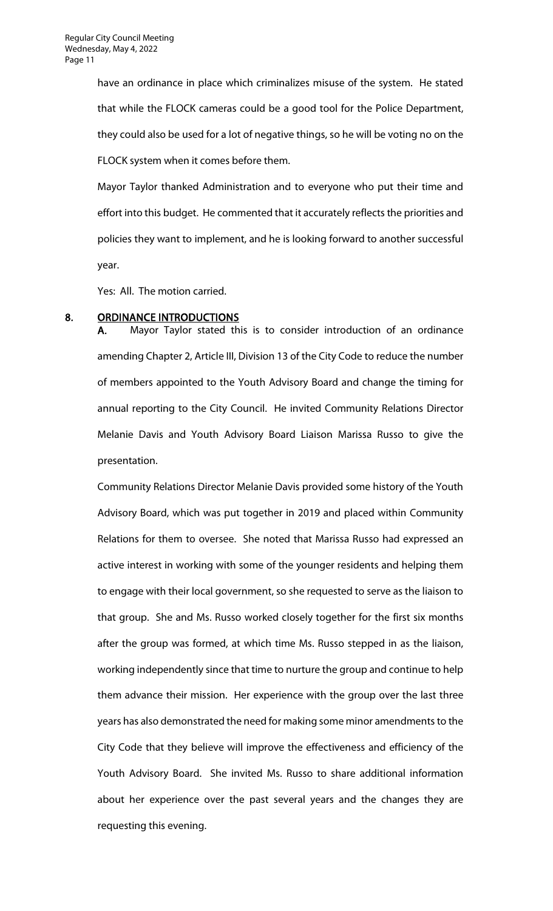have an ordinance in place which criminalizes misuse of the system. He stated that while the FLOCK cameras could be a good tool for the Police Department, they could also be used for a lot of negative things, so he will be voting no on the FLOCK system when it comes before them.

Mayor Taylor thanked Administration and to everyone who put their time and effort into this budget. He commented that it accurately reflects the priorities and policies they want to implement, and he is looking forward to another successful year.

Yes: All. The motion carried.

#### 8. ORDINANCE INTRODUCTIONS

A. Mayor Taylor stated this is to consider introduction of an ordinance amending Chapter 2, Article III, Division 13 of the City Code to reduce the number of members appointed to the Youth Advisory Board and change the timing for annual reporting to the City Council. He invited Community Relations Director Melanie Davis and Youth Advisory Board Liaison Marissa Russo to give the presentation.

Community Relations Director Melanie Davis provided some history of the Youth Advisory Board, which was put together in 2019 and placed within Community Relations for them to oversee. She noted that Marissa Russo had expressed an active interest in working with some of the younger residents and helping them to engage with their local government, so she requested to serve as the liaison to that group. She and Ms. Russo worked closely together for the first six months after the group was formed, at which time Ms. Russo stepped in as the liaison, working independently since that time to nurture the group and continue to help them advance their mission. Her experience with the group over the last three years has also demonstrated the need for making some minor amendments to the City Code that they believe will improve the effectiveness and efficiency of the Youth Advisory Board. She invited Ms. Russo to share additional information about her experience over the past several years and the changes they are requesting this evening.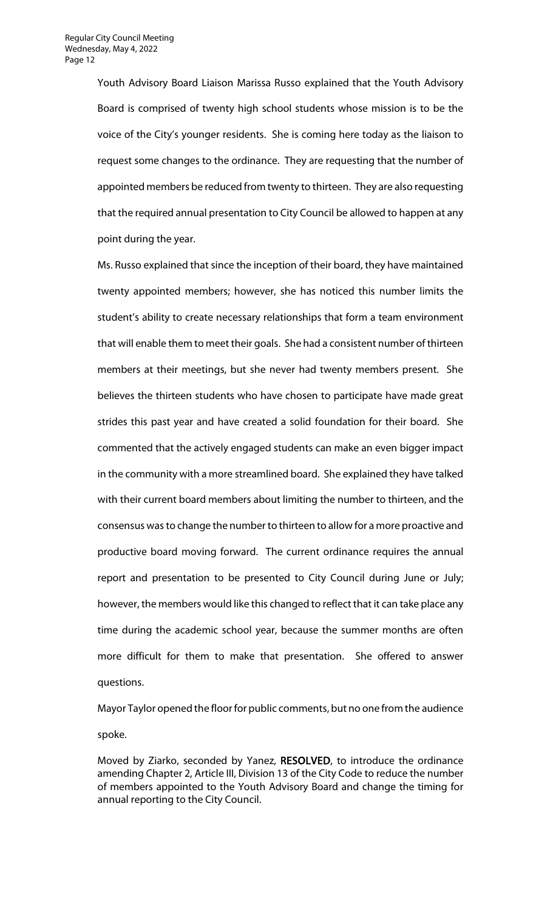Youth Advisory Board Liaison Marissa Russo explained that the Youth Advisory Board is comprised of twenty high school students whose mission is to be the voice of the City's younger residents. She is coming here today as the liaison to request some changes to the ordinance. They are requesting that the number of appointed members be reduced from twenty to thirteen. They are also requesting that the required annual presentation to City Council be allowed to happen at any point during the year.

Ms. Russo explained that since the inception of their board, they have maintained twenty appointed members; however, she has noticed this number limits the student's ability to create necessary relationships that form a team environment that will enable them to meet their goals. She had a consistent number of thirteen members at their meetings, but she never had twenty members present. She believes the thirteen students who have chosen to participate have made great strides this past year and have created a solid foundation for their board. She commented that the actively engaged students can make an even bigger impact in the community with a more streamlined board. She explained they have talked with their current board members about limiting the number to thirteen, and the consensus was to change the number to thirteen to allow for a more proactive and productive board moving forward. The current ordinance requires the annual report and presentation to be presented to City Council during June or July; however, the members would like this changed to reflect that it can take place any time during the academic school year, because the summer months are often more difficult for them to make that presentation. She offered to answer questions.

Mayor Taylor opened the floor for public comments, but no one from the audience spoke.

Moved by Ziarko, seconded by Yanez, RESOLVED, to introduce the ordinance amending Chapter 2, Article III, Division 13 of the City Code to reduce the number of members appointed to the Youth Advisory Board and change the timing for annual reporting to the City Council.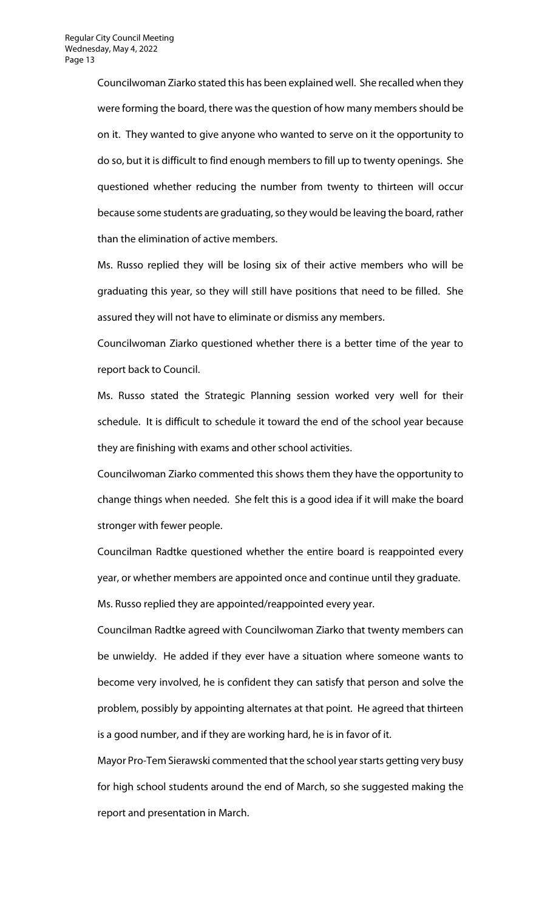Councilwoman Ziarko stated this has been explained well. She recalled when they were forming the board, there was the question of how many members should be on it. They wanted to give anyone who wanted to serve on it the opportunity to do so, but it is difficult to find enough members to fill up to twenty openings. She questioned whether reducing the number from twenty to thirteen will occur because some students are graduating, so they would be leaving the board, rather than the elimination of active members.

Ms. Russo replied they will be losing six of their active members who will be graduating this year, so they will still have positions that need to be filled. She assured they will not have to eliminate or dismiss any members.

Councilwoman Ziarko questioned whether there is a better time of the year to report back to Council.

Ms. Russo stated the Strategic Planning session worked very well for their schedule. It is difficult to schedule it toward the end of the school year because they are finishing with exams and other school activities.

Councilwoman Ziarko commented this shows them they have the opportunity to change things when needed. She felt this is a good idea if it will make the board stronger with fewer people.

Councilman Radtke questioned whether the entire board is reappointed every year, or whether members are appointed once and continue until they graduate.

Ms. Russo replied they are appointed/reappointed every year.

Councilman Radtke agreed with Councilwoman Ziarko that twenty members can be unwieldy. He added if they ever have a situation where someone wants to become very involved, he is confident they can satisfy that person and solve the problem, possibly by appointing alternates at that point. He agreed that thirteen is a good number, and if they are working hard, he is in favor of it.

Mayor Pro-Tem Sierawski commented that the school year starts getting very busy for high school students around the end of March, so she suggested making the report and presentation in March.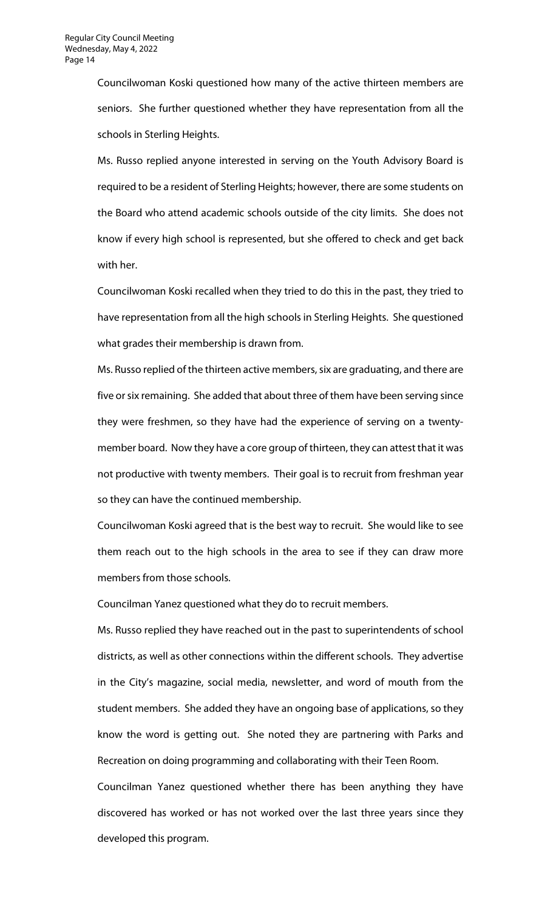Councilwoman Koski questioned how many of the active thirteen members are seniors. She further questioned whether they have representation from all the schools in Sterling Heights.

Ms. Russo replied anyone interested in serving on the Youth Advisory Board is required to be a resident of Sterling Heights; however, there are some students on the Board who attend academic schools outside of the city limits. She does not know if every high school is represented, but she offered to check and get back with her.

Councilwoman Koski recalled when they tried to do this in the past, they tried to have representation from all the high schools in Sterling Heights. She questioned what grades their membership is drawn from.

Ms. Russo replied of the thirteen active members, six are graduating, and there are five or six remaining. She added that about three of them have been serving since they were freshmen, so they have had the experience of serving on a twentymember board. Now they have a core group of thirteen, they can attest that it was not productive with twenty members. Their goal is to recruit from freshman year so they can have the continued membership.

Councilwoman Koski agreed that is the best way to recruit. She would like to see them reach out to the high schools in the area to see if they can draw more members from those schools.

Councilman Yanez questioned what they do to recruit members.

Ms. Russo replied they have reached out in the past to superintendents of school districts, as well as other connections within the different schools. They advertise in the City's magazine, social media, newsletter, and word of mouth from the student members. She added they have an ongoing base of applications, so they know the word is getting out. She noted they are partnering with Parks and Recreation on doing programming and collaborating with their Teen Room.

Councilman Yanez questioned whether there has been anything they have discovered has worked or has not worked over the last three years since they developed this program.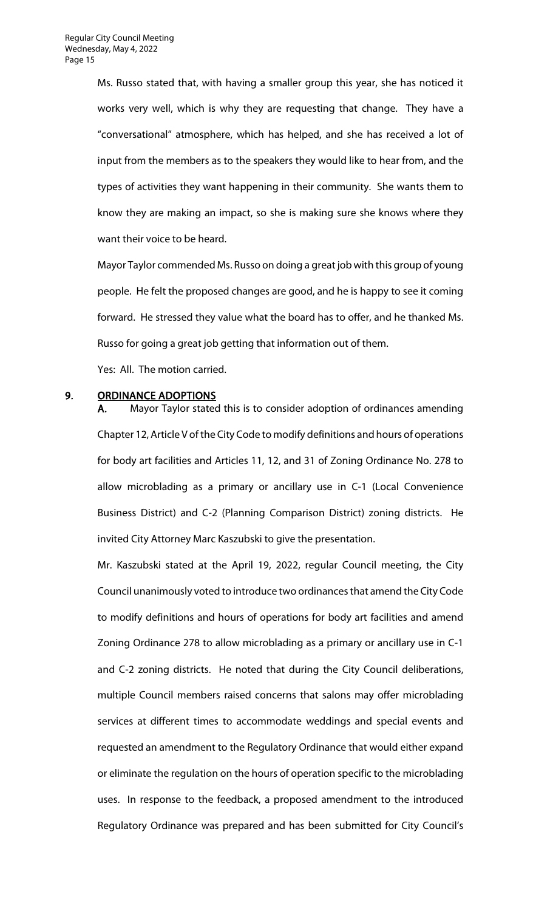Ms. Russo stated that, with having a smaller group this year, she has noticed it works very well, which is why they are requesting that change. They have a "conversational" atmosphere, which has helped, and she has received a lot of input from the members as to the speakers they would like to hear from, and the types of activities they want happening in their community. She wants them to know they are making an impact, so she is making sure she knows where they want their voice to be heard.

Mayor Taylor commended Ms. Russo on doing a great job with this group of young people. He felt the proposed changes are good, and he is happy to see it coming forward. He stressed they value what the board has to offer, and he thanked Ms. Russo for going a great job getting that information out of them.

Yes: All. The motion carried.

#### 9. ORDINANCE ADOPTIONS

A. Mayor Taylor stated this is to consider adoption of ordinances amending Chapter 12, Article V of the City Code to modify definitions and hours of operations for body art facilities and Articles 11, 12, and 31 of Zoning Ordinance No. 278 to allow microblading as a primary or ancillary use in C-1 (Local Convenience Business District) and C-2 (Planning Comparison District) zoning districts. He invited City Attorney Marc Kaszubski to give the presentation.

Mr. Kaszubski stated at the April 19, 2022, regular Council meeting, the City Council unanimously voted to introduce two ordinances that amend the City Code to modify definitions and hours of operations for body art facilities and amend Zoning Ordinance 278 to allow microblading as a primary or ancillary use in C-1 and C-2 zoning districts. He noted that during the City Council deliberations, multiple Council members raised concerns that salons may offer microblading services at different times to accommodate weddings and special events and requested an amendment to the Regulatory Ordinance that would either expand or eliminate the regulation on the hours of operation specific to the microblading uses. In response to the feedback, a proposed amendment to the introduced Regulatory Ordinance was prepared and has been submitted for City Council's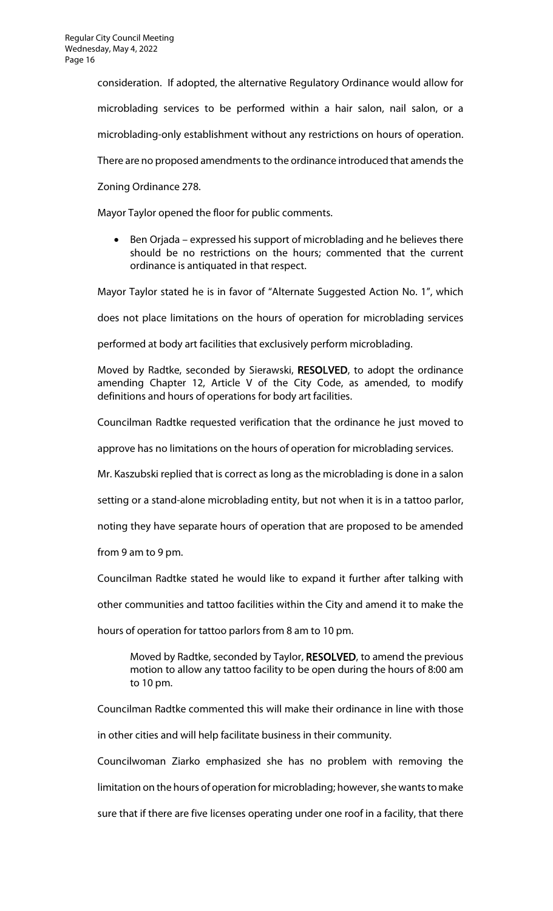consideration. If adopted, the alternative Regulatory Ordinance would allow for

microblading services to be performed within a hair salon, nail salon, or a

microblading-only establishment without any restrictions on hours of operation.

There are no proposed amendments to the ordinance introduced that amends the

Zoning Ordinance 278.

Mayor Taylor opened the floor for public comments.

• Ben Orjada – expressed his support of microblading and he believes there should be no restrictions on the hours; commented that the current ordinance is antiquated in that respect.

Mayor Taylor stated he is in favor of "Alternate Suggested Action No. 1", which

does not place limitations on the hours of operation for microblading services

performed at body art facilities that exclusively perform microblading.

Moved by Radtke, seconded by Sierawski, RESOLVED, to adopt the ordinance amending Chapter 12, Article V of the City Code, as amended, to modify definitions and hours of operations for body art facilities.

Councilman Radtke requested verification that the ordinance he just moved to

approve has no limitations on the hours of operation for microblading services.

Mr. Kaszubski replied that is correct as long as the microblading is done in a salon

setting or a stand-alone microblading entity, but not when it is in a tattoo parlor,

noting they have separate hours of operation that are proposed to be amended

from 9 am to 9 pm.

Councilman Radtke stated he would like to expand it further after talking with

other communities and tattoo facilities within the City and amend it to make the

hours of operation for tattoo parlors from 8 am to 10 pm.

Moved by Radtke, seconded by Taylor, RESOLVED, to amend the previous motion to allow any tattoo facility to be open during the hours of 8:00 am to 10 pm.

Councilman Radtke commented this will make their ordinance in line with those

in other cities and will help facilitate business in their community.

Councilwoman Ziarko emphasized she has no problem with removing the

limitation on the hours of operation for microblading; however, she wants to make

sure that if there are five licenses operating under one roof in a facility, that there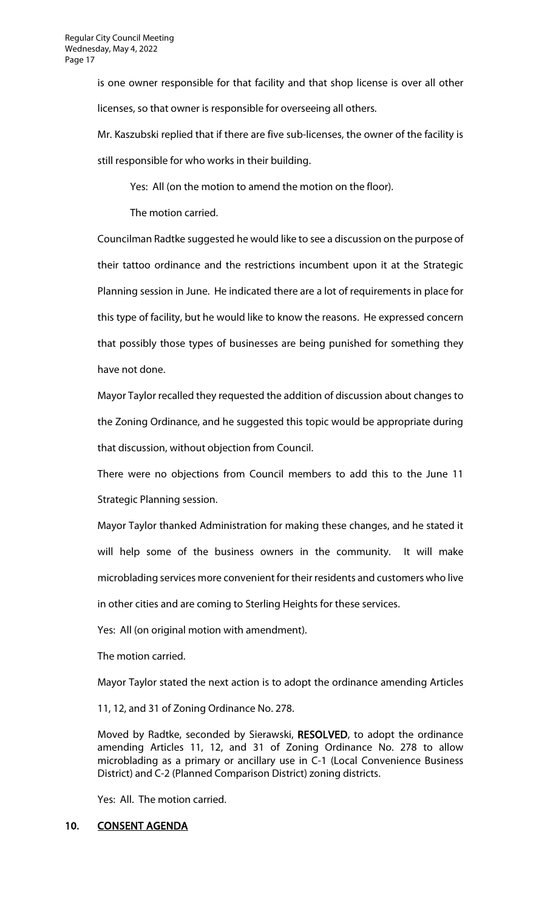is one owner responsible for that facility and that shop license is over all other licenses, so that owner is responsible for overseeing all others.

Mr. Kaszubski replied that if there are five sub-licenses, the owner of the facility is still responsible for who works in their building.

Yes: All (on the motion to amend the motion on the floor).

The motion carried.

Councilman Radtke suggested he would like to see a discussion on the purpose of their tattoo ordinance and the restrictions incumbent upon it at the Strategic Planning session in June. He indicated there are a lot of requirements in place for this type of facility, but he would like to know the reasons. He expressed concern that possibly those types of businesses are being punished for something they have not done.

Mayor Taylor recalled they requested the addition of discussion about changes to the Zoning Ordinance, and he suggested this topic would be appropriate during that discussion, without objection from Council.

There were no objections from Council members to add this to the June 11 Strategic Planning session.

Mayor Taylor thanked Administration for making these changes, and he stated it will help some of the business owners in the community. It will make microblading services more convenient for their residents and customers who live

in other cities and are coming to Sterling Heights for these services.

Yes: All (on original motion with amendment).

The motion carried.

Mayor Taylor stated the next action is to adopt the ordinance amending Articles

11, 12, and 31 of Zoning Ordinance No. 278.

Moved by Radtke, seconded by Sierawski, RESOLVED, to adopt the ordinance amending Articles 11, 12, and 31 of Zoning Ordinance No. 278 to allow microblading as a primary or ancillary use in C-1 (Local Convenience Business District) and C-2 (Planned Comparison District) zoning districts.

Yes: All. The motion carried.

# 10. CONSENT AGENDA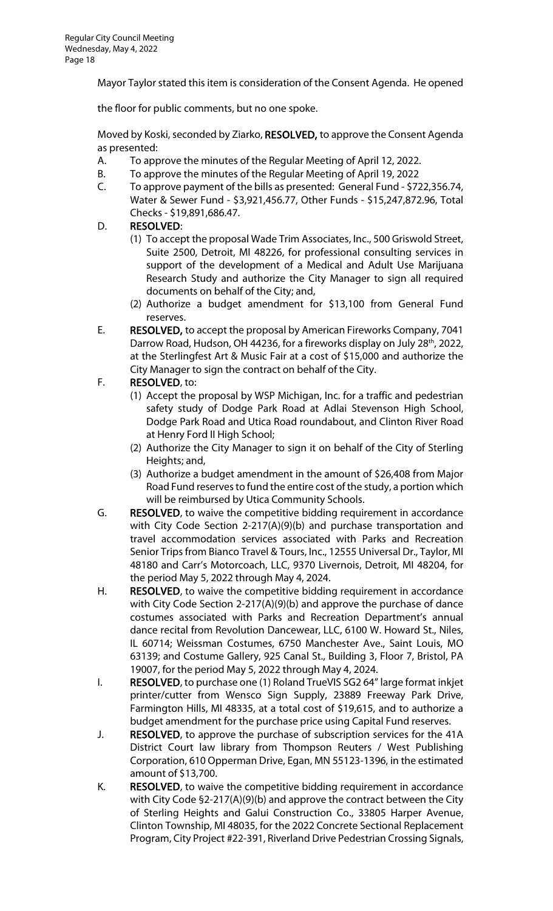Mayor Taylor stated this item is consideration of the Consent Agenda. He opened

the floor for public comments, but no one spoke.

Moved by Koski, seconded by Ziarko, RESOLVED, to approve the Consent Agenda as presented:

- A. To approve the minutes of the Regular Meeting of April 12, 2022.
- B. To approve the minutes of the Regular Meeting of April 19, 2022
- C. To approve payment of the bills as presented: General Fund \$722,356.74, Water & Sewer Fund - \$3,921,456.77, Other Funds - \$15,247,872.96, Total Checks - \$19,891,686.47.

# D. RESOLVED:

- (1) To accept the proposal Wade Trim Associates, Inc., 500 Griswold Street, Suite 2500, Detroit, MI 48226, for professional consulting services in support of the development of a Medical and Adult Use Marijuana Research Study and authorize the City Manager to sign all required documents on behalf of the City; and,
- (2) Authorize a budget amendment for \$13,100 from General Fund reserves.
- E. RESOLVED, to accept the proposal by American Fireworks Company, 7041 Darrow Road, Hudson, OH 44236, for a fireworks display on July 28<sup>th</sup>, 2022, at the Sterlingfest Art & Music Fair at a cost of \$15,000 and authorize the City Manager to sign the contract on behalf of the City.

# F. RESOLVED, to:

- (1) Accept the proposal by WSP Michigan, Inc. for a traffic and pedestrian safety study of Dodge Park Road at Adlai Stevenson High School, Dodge Park Road and Utica Road roundabout, and Clinton River Road at Henry Ford II High School;
- (2) Authorize the City Manager to sign it on behalf of the City of Sterling Heights; and,
- (3) Authorize a budget amendment in the amount of \$26,408 from Major Road Fund reserves to fund the entire cost of the study, a portion which will be reimbursed by Utica Community Schools.
- G. RESOLVED, to waive the competitive bidding requirement in accordance with City Code Section 2-217(A)(9)(b) and purchase transportation and travel accommodation services associated with Parks and Recreation Senior Trips from Bianco Travel & Tours, Inc., 12555 Universal Dr., Taylor, MI 48180 and Carr's Motorcoach, LLC, 9370 Livernois, Detroit, MI 48204, for the period May 5, 2022 through May 4, 2024.
- H. RESOLVED, to waive the competitive bidding requirement in accordance with City Code Section 2-217(A)(9)(b) and approve the purchase of dance costumes associated with Parks and Recreation Department's annual dance recital from Revolution Dancewear, LLC, 6100 W. Howard St., Niles, IL 60714; Weissman Costumes, 6750 Manchester Ave., Saint Louis, MO 63139; and Costume Gallery, 925 Canal St., Building 3, Floor 7, Bristol, PA 19007, for the period May 5, 2022 through May 4, 2024.
- I. RESOLVED, to purchase one (1) Roland TrueVIS SG2 64" large format inkjet printer/cutter from Wensco Sign Supply, 23889 Freeway Park Drive, Farmington Hills, MI 48335, at a total cost of \$19,615, and to authorize a budget amendment for the purchase price using Capital Fund reserves.
- J. RESOLVED, to approve the purchase of subscription services for the 41A District Court law library from Thompson Reuters / West Publishing Corporation, 610 Opperman Drive, Egan, MN 55123-1396, in the estimated amount of \$13,700.
- K. RESOLVED, to waive the competitive bidding requirement in accordance with City Code §2-217(A)(9)(b) and approve the contract between the City of Sterling Heights and Galui Construction Co., 33805 Harper Avenue, Clinton Township, MI 48035, for the 2022 Concrete Sectional Replacement Program, City Project #22-391, Riverland Drive Pedestrian Crossing Signals,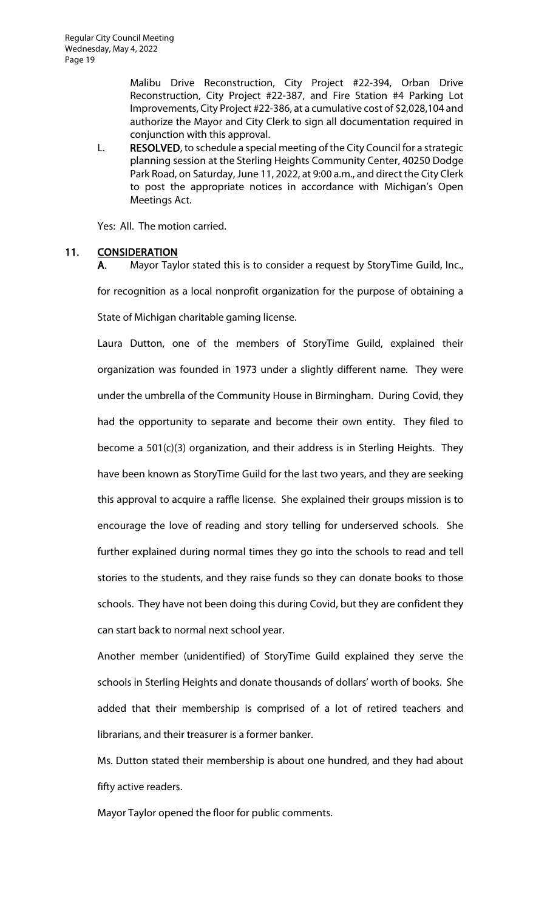Malibu Drive Reconstruction, City Project #22-394, Orban Drive Reconstruction, City Project #22-387, and Fire Station #4 Parking Lot Improvements, City Project #22-386, at a cumulative cost of \$2,028,104 and authorize the Mayor and City Clerk to sign all documentation required in conjunction with this approval.

L. RESOLVED, to schedule a special meeting of the City Council for a strategic planning session at the Sterling Heights Community Center, 40250 Dodge Park Road, on Saturday, June 11, 2022, at 9:00 a.m., and direct the City Clerk to post the appropriate notices in accordance with Michigan's Open Meetings Act.

Yes: All. The motion carried.

# 11. CONSIDERATION

A. Mayor Taylor stated this is to consider a request by StoryTime Guild, Inc.,

for recognition as a local nonprofit organization for the purpose of obtaining a State of Michigan charitable gaming license.

Laura Dutton, one of the members of StoryTime Guild, explained their organization was founded in 1973 under a slightly different name. They were under the umbrella of the Community House in Birmingham. During Covid, they had the opportunity to separate and become their own entity. They filed to become a 501(c)(3) organization, and their address is in Sterling Heights. They have been known as StoryTime Guild for the last two years, and they are seeking this approval to acquire a raffle license. She explained their groups mission is to encourage the love of reading and story telling for underserved schools. She further explained during normal times they go into the schools to read and tell stories to the students, and they raise funds so they can donate books to those schools. They have not been doing this during Covid, but they are confident they can start back to normal next school year.

Another member (unidentified) of StoryTime Guild explained they serve the schools in Sterling Heights and donate thousands of dollars' worth of books. She added that their membership is comprised of a lot of retired teachers and librarians, and their treasurer is a former banker.

Ms. Dutton stated their membership is about one hundred, and they had about fifty active readers.

Mayor Taylor opened the floor for public comments.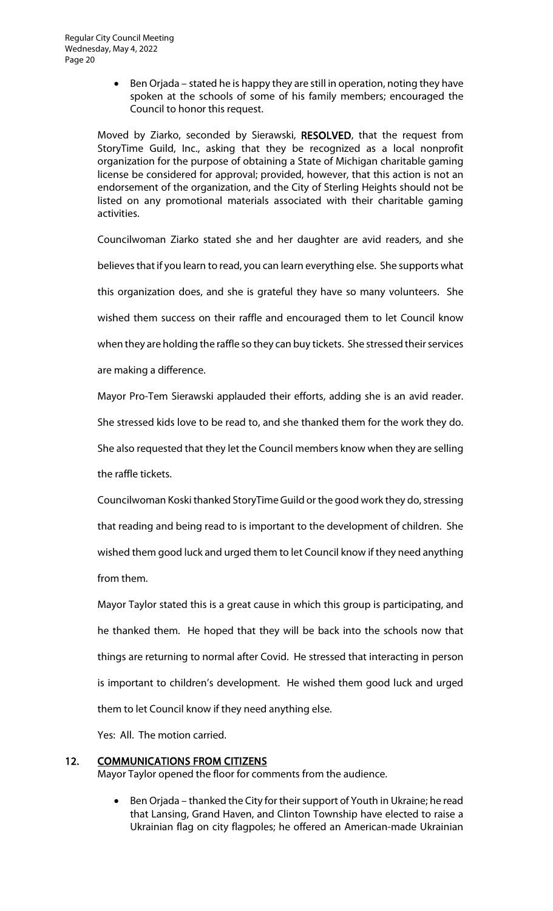• Ben Orjada – stated he is happy they are still in operation, noting they have spoken at the schools of some of his family members; encouraged the Council to honor this request.

Moved by Ziarko, seconded by Sierawski, RESOLVED, that the request from StoryTime Guild, Inc., asking that they be recognized as a local nonprofit organization for the purpose of obtaining a State of Michigan charitable gaming license be considered for approval; provided, however, that this action is not an endorsement of the organization, and the City of Sterling Heights should not be listed on any promotional materials associated with their charitable gaming activities.

Councilwoman Ziarko stated she and her daughter are avid readers, and she believes that if you learn to read, you can learn everything else. She supports what this organization does, and she is grateful they have so many volunteers. She wished them success on their raffle and encouraged them to let Council know when they are holding the raffle so they can buy tickets. She stressed their services are making a difference.

Mayor Pro-Tem Sierawski applauded their efforts, adding she is an avid reader. She stressed kids love to be read to, and she thanked them for the work they do. She also requested that they let the Council members know when they are selling the raffle tickets.

Councilwoman Koski thanked StoryTime Guild or the good work they do, stressing that reading and being read to is important to the development of children. She wished them good luck and urged them to let Council know if they need anything from them.

Mayor Taylor stated this is a great cause in which this group is participating, and he thanked them. He hoped that they will be back into the schools now that things are returning to normal after Covid. He stressed that interacting in person is important to children's development. He wished them good luck and urged them to let Council know if they need anything else.

Yes: All. The motion carried.

# 12. COMMUNICATIONS FROM CITIZENS

Mayor Taylor opened the floor for comments from the audience.

• Ben Orjada – thanked the City for their support of Youth in Ukraine; he read that Lansing, Grand Haven, and Clinton Township have elected to raise a Ukrainian flag on city flagpoles; he offered an American-made Ukrainian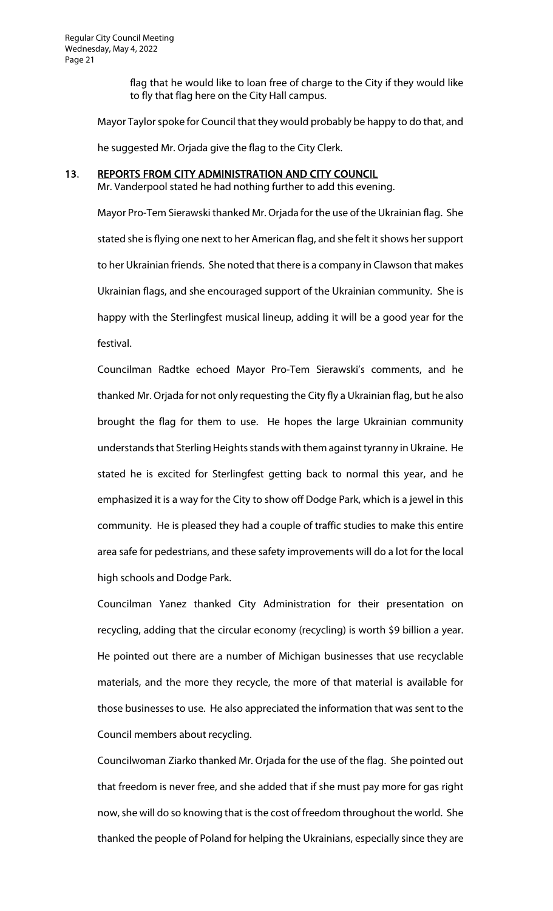flag that he would like to loan free of charge to the City if they would like to fly that flag here on the City Hall campus.

Mayor Taylor spoke for Council that they would probably be happy to do that, and

he suggested Mr. Orjada give the flag to the City Clerk.

#### 13. REPORTS FROM CITY ADMINISTRATION AND CITY COUNCIL

Mr. Vanderpool stated he had nothing further to add this evening.

Mayor Pro-Tem Sierawski thanked Mr. Orjada for the use of the Ukrainian flag. She stated she is flying one next to her American flag, and she felt it shows her support to her Ukrainian friends. She noted that there is a company in Clawson that makes Ukrainian flags, and she encouraged support of the Ukrainian community. She is happy with the Sterlingfest musical lineup, adding it will be a good year for the festival.

Councilman Radtke echoed Mayor Pro-Tem Sierawski's comments, and he thanked Mr. Orjada for not only requesting the City fly a Ukrainian flag, but he also brought the flag for them to use. He hopes the large Ukrainian community understands that Sterling Heights stands with them against tyranny in Ukraine. He stated he is excited for Sterlingfest getting back to normal this year, and he emphasized it is a way for the City to show off Dodge Park, which is a jewel in this community. He is pleased they had a couple of traffic studies to make this entire area safe for pedestrians, and these safety improvements will do a lot for the local high schools and Dodge Park.

Councilman Yanez thanked City Administration for their presentation on recycling, adding that the circular economy (recycling) is worth \$9 billion a year. He pointed out there are a number of Michigan businesses that use recyclable materials, and the more they recycle, the more of that material is available for those businesses to use. He also appreciated the information that was sent to the Council members about recycling.

Councilwoman Ziarko thanked Mr. Orjada for the use of the flag. She pointed out that freedom is never free, and she added that if she must pay more for gas right now, she will do so knowing that is the cost of freedom throughout the world. She thanked the people of Poland for helping the Ukrainians, especially since they are